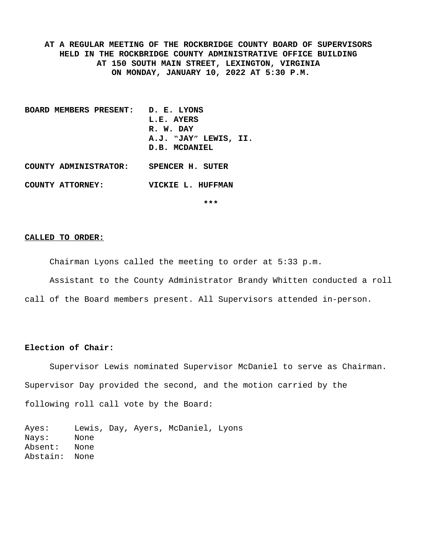**AT A REGULAR MEETING OF THE ROCKBRIDGE COUNTY BOARD OF SUPERVISORS HELD IN THE ROCKBRIDGE COUNTY ADMINISTRATIVE OFFICE BUILDING AT 150 SOUTH MAIN STREET, LEXINGTON, VIRGINIA ON MONDAY, JANUARY 10, 2022 AT 5:30 P.M.**

**BOARD MEMBERS PRESENT: D. E. LYONS L.E. AYERS R. W. DAY A.J. "JAY" LEWIS, II. D.B. MCDANIEL**

**COUNTY ATTORNEY: VICKIE L. HUFFMAN**

**COUNTY ADMINISTRATOR: SPENCER H. SUTER**

**\*\*\***

#### **CALLED TO ORDER:**

Chairman Lyons called the meeting to order at 5:33 p.m.

Assistant to the County Administrator Brandy Whitten conducted a roll

call of the Board members present. All Supervisors attended in-person.

### **Election of Chair:**

Supervisor Lewis nominated Supervisor McDaniel to serve as Chairman. Supervisor Day provided the second, and the motion carried by the following roll call vote by the Board:

Ayes: Lewis, Day, Ayers, McDaniel, Lyons Nays: None Absent: None Abstain: None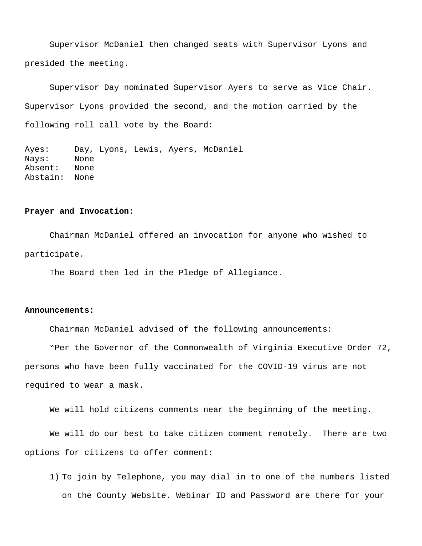Supervisor McDaniel then changed seats with Supervisor Lyons and presided the meeting.

Supervisor Day nominated Supervisor Ayers to serve as Vice Chair. Supervisor Lyons provided the second, and the motion carried by the following roll call vote by the Board:

Ayes: Day, Lyons, Lewis, Ayers, McDaniel Nays: None Absent: None Abstain: None

#### **Prayer and Invocation:**

Chairman McDaniel offered an invocation for anyone who wished to participate.

The Board then led in the Pledge of Allegiance.

### **Announcements:**

Chairman McDaniel advised of the following announcements:

"Per the Governor of the Commonwealth of Virginia Executive Order 72, persons who have been fully vaccinated for the COVID-19 virus are not required to wear a mask.

We will hold citizens comments near the beginning of the meeting.

We will do our best to take citizen comment remotely. There are two options for citizens to offer comment:

1) To join by Telephone, you may dial in to one of the numbers listed on the County Website. Webinar ID and Password are there for your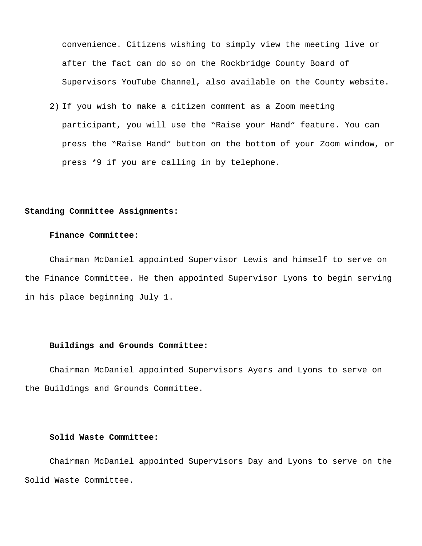convenience. Citizens wishing to simply view the meeting live or after the fact can do so on the Rockbridge County Board of Supervisors YouTube Channel, also available on the County website.

2) If you wish to make a citizen comment as a Zoom meeting participant, you will use the "Raise your Hand" feature. You can press the "Raise Hand" button on the bottom of your Zoom window, or press \*9 if you are calling in by telephone.

### **Standing Committee Assignments:**

# **Finance Committee:**

Chairman McDaniel appointed Supervisor Lewis and himself to serve on the Finance Committee. He then appointed Supervisor Lyons to begin serving in his place beginning July 1.

# **Buildings and Grounds Committee:**

Chairman McDaniel appointed Supervisors Ayers and Lyons to serve on the Buildings and Grounds Committee.

### **Solid Waste Committee:**

Chairman McDaniel appointed Supervisors Day and Lyons to serve on the Solid Waste Committee.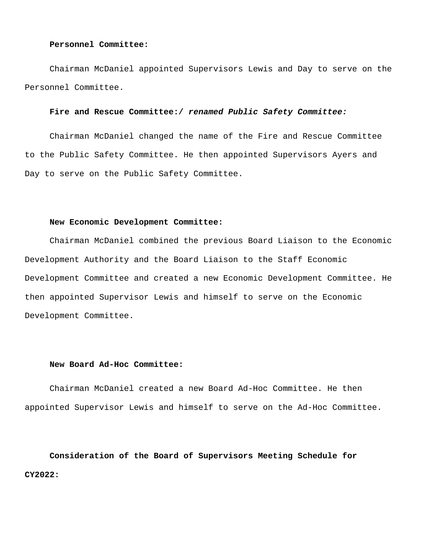### **Personnel Committee:**

Chairman McDaniel appointed Supervisors Lewis and Day to serve on the Personnel Committee.

# **Fire and Rescue Committee:/** *renamed Public Safety Committee:*

Chairman McDaniel changed the name of the Fire and Rescue Committee to the Public Safety Committee. He then appointed Supervisors Ayers and Day to serve on the Public Safety Committee.

### **New Economic Development Committee:**

Chairman McDaniel combined the previous Board Liaison to the Economic Development Authority and the Board Liaison to the Staff Economic Development Committee and created a new Economic Development Committee. He then appointed Supervisor Lewis and himself to serve on the Economic Development Committee.

### **New Board Ad-Hoc Committee:**

Chairman McDaniel created a new Board Ad-Hoc Committee. He then appointed Supervisor Lewis and himself to serve on the Ad-Hoc Committee.

**Consideration of the Board of Supervisors Meeting Schedule for CY2022:**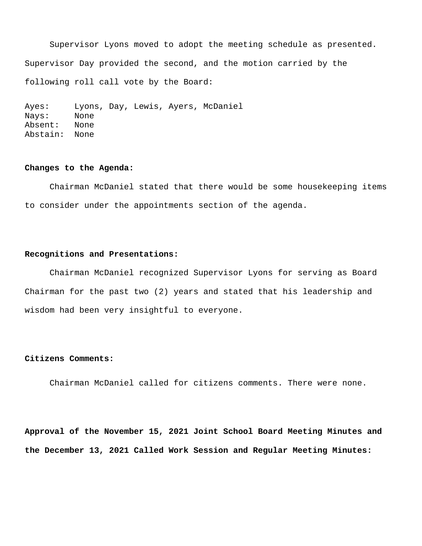Supervisor Lyons moved to adopt the meeting schedule as presented. Supervisor Day provided the second, and the motion carried by the following roll call vote by the Board:

Ayes: Lyons, Day, Lewis, Ayers, McDaniel Nays: None Absent: None Abstain: None

### **Changes to the Agenda:**

Chairman McDaniel stated that there would be some housekeeping items to consider under the appointments section of the agenda.

# **Recognitions and Presentations:**

Chairman McDaniel recognized Supervisor Lyons for serving as Board Chairman for the past two (2) years and stated that his leadership and wisdom had been very insightful to everyone.

### **Citizens Comments:**

Chairman McDaniel called for citizens comments. There were none.

**Approval of the November 15, 2021 Joint School Board Meeting Minutes and the December 13, 2021 Called Work Session and Regular Meeting Minutes:**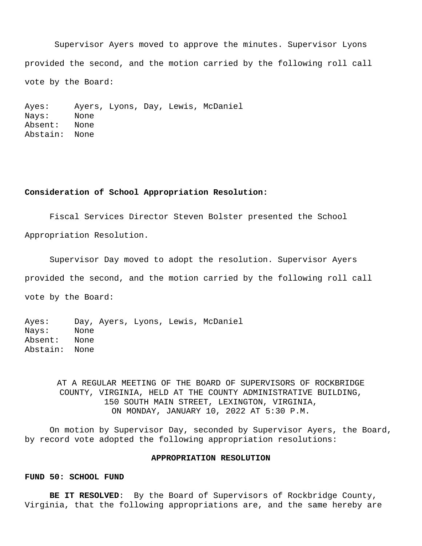Supervisor Ayers moved to approve the minutes. Supervisor Lyons provided the second, and the motion carried by the following roll call vote by the Board:

Ayes: Ayers, Lyons, Day, Lewis, McDaniel Nays: None Absent: None Abstain: None

# **Consideration of School Appropriation Resolution:**

Fiscal Services Director Steven Bolster presented the School Appropriation Resolution.

Supervisor Day moved to adopt the resolution. Supervisor Ayers provided the second, and the motion carried by the following roll call vote by the Board:

Ayes: Day, Ayers, Lyons, Lewis, McDaniel Nays: None Absent: None Abstain: None

> AT A REGULAR MEETING OF THE BOARD OF SUPERVISORS OF ROCKBRIDGE COUNTY, VIRGINIA, HELD AT THE COUNTY ADMINISTRATIVE BUILDING, 150 SOUTH MAIN STREET, LEXINGTON, VIRGINIA, ON MONDAY, JANUARY 10, 2022 AT 5:30 P.M.

On motion by Supervisor Day, seconded by Supervisor Ayers, the Board, by record vote adopted the following appropriation resolutions:

### **APPROPRIATION RESOLUTION**

#### **FUND 50: SCHOOL FUND**

**BE IT RESOLVED**: By the Board of Supervisors of Rockbridge County, Virginia, that the following appropriations are, and the same hereby are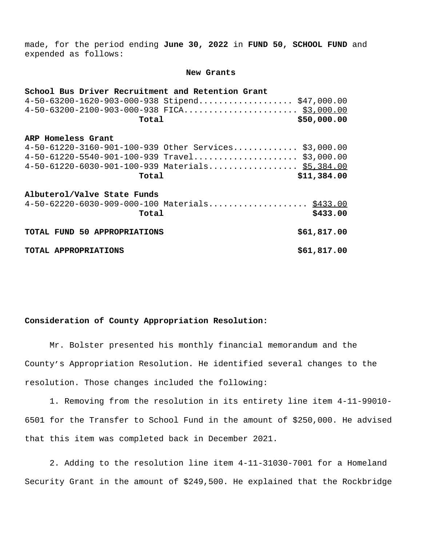made, for the period ending **June 30, 2022** in **FUND 50, SCHOOL FUND** and expended as follows:

#### **New Grants**

| School Bus Driver Recruitment and Retention Grant                             |             |
|-------------------------------------------------------------------------------|-------------|
| $4-50-63200-1620-903-000-938$ Stipend \$47,000.00                             |             |
|                                                                               |             |
| Total                                                                         | \$50,000.00 |
| ARP Homeless Grant                                                            |             |
| 4-50-61220-3160-901-100-939 Other Services \$3,000.00                         |             |
| $4-50-61220-5540-901-100-939$ Travel \$3,000.00                               |             |
| 4-50-61220-6030-901-100-939 Materials \$5,384.00                              |             |
| Total                                                                         | \$11,384.00 |
| Albuterol/Valve State Funds<br>4-50-62220-6030-909-000-100 Materials \$433.00 |             |
| Total                                                                         | \$433.00    |
|                                                                               |             |
| TOTAL FUND 50 APPROPRIATIONS                                                  | \$61,817.00 |
| TOTAL APPROPRIATIONS                                                          | \$61,817.00 |

# **Consideration of County Appropriation Resolution:**

Mr. Bolster presented his monthly financial memorandum and the County's Appropriation Resolution. He identified several changes to the resolution. Those changes included the following:

 1. Removing from the resolution in its entirety line item 4-11-99010- 6501 for the Transfer to School Fund in the amount of \$250,000. He advised that this item was completed back in December 2021.

 2. Adding to the resolution line item 4-11-31030-7001 for a Homeland Security Grant in the amount of \$249,500. He explained that the Rockbridge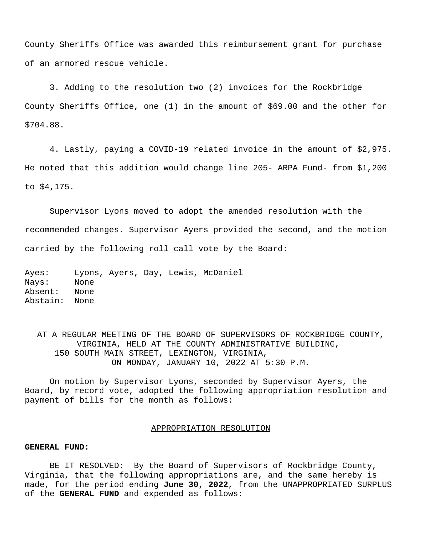County Sheriffs Office was awarded this reimbursement grant for purchase of an armored rescue vehicle.

 3. Adding to the resolution two (2) invoices for the Rockbridge County Sheriffs Office, one (1) in the amount of \$69.00 and the other for \$704.88.

 4. Lastly, paying a COVID-19 related invoice in the amount of \$2,975. He noted that this addition would change line 205- ARPA Fund- from \$1,200 to \$4,175.

Supervisor Lyons moved to adopt the amended resolution with the recommended changes. Supervisor Ayers provided the second, and the motion carried by the following roll call vote by the Board:

Ayes: Lyons, Ayers, Day, Lewis, McDaniel Nays: None Absent: None Abstain: None

AT A REGULAR MEETING OF THE BOARD OF SUPERVISORS OF ROCKBRIDGE COUNTY, VIRGINIA, HELD AT THE COUNTY ADMINISTRATIVE BUILDING, 150 SOUTH MAIN STREET, LEXINGTON, VIRGINIA, ON MONDAY, JANUARY 10, 2022 AT 5:30 P.M.

On motion by Supervisor Lyons, seconded by Supervisor Ayers, the Board, by record vote, adopted the following appropriation resolution and payment of bills for the month as follows:

### APPROPRIATION RESOLUTION

### **GENERAL FUND:**

BE IT RESOLVED: By the Board of Supervisors of Rockbridge County, Virginia, that the following appropriations are, and the same hereby is made, for the period ending **June 30, 2022**, from the UNAPPROPRIATED SURPLUS of the **GENERAL FUND** and expended as follows: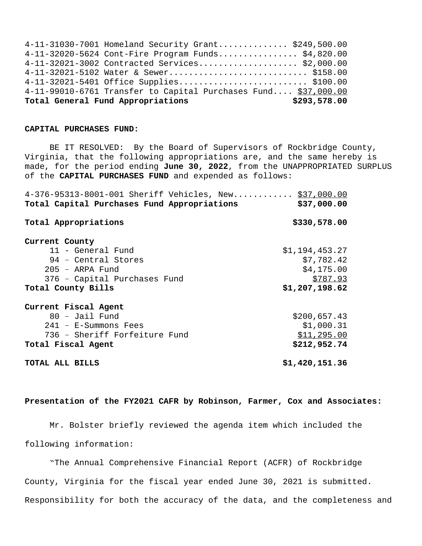| 4-11-31030-7001 Homeland Security Grant \$249,500.00           |              |
|----------------------------------------------------------------|--------------|
| 4-11-32020-5624 Cont-Fire Program Funds \$4,820.00             |              |
| 4-11-32021-3002 Contracted Services \$2,000.00                 |              |
| 4-11-32021-5102 Water & Sewer \$158.00                         |              |
| 4-11-32021-5401 Office Supplies \$100.00                       |              |
| 4-11-99010-6761 Transfer to Capital Purchases Fund \$37,000.00 |              |
| Total General Fund Appropriations                              | \$293,578.00 |

### **CAPITAL PURCHASES FUND:**

BE IT RESOLVED: By the Board of Supervisors of Rockbridge County, Virginia, that the following appropriations are, and the same hereby is made, for the period ending **June 30, 2022**, from the UNAPPROPRIATED SURPLUS of the **CAPITAL PURCHASES FUND** and expended as follows:

| 4-376-95313-8001-001 Sheriff Vehicles, New \$37,000.00 |                |
|--------------------------------------------------------|----------------|
| Total Capital Purchases Fund Appropriations            | \$37,000.00    |
| Total Appropriations                                   | \$330,578.00   |
| Current County                                         |                |
| 11 - General Fund                                      | \$1,194,453.27 |
| 94 - Central Stores                                    | \$7,782.42     |
| $205 - ARPA$ Fund                                      | \$4,175.00     |
| 376 - Capital Purchases Fund                           | \$787.93       |
| Total County Bills                                     | \$1,207,198.62 |
| Current Fiscal Agent                                   |                |
| $80 -$ Jail Fund                                       | \$200,657.43   |
| 241 - E-Summons Fees                                   | \$1,000.31     |
| 736 - Sheriff Forfeiture Fund                          | \$11,295.00    |
| Total Fiscal Agent                                     | \$212,952.74   |
| TOTAL ALL BILLS                                        | \$1,420,151.36 |

**Presentation of the FY2021 CAFR by Robinson, Farmer, Cox and Associates:**

Mr. Bolster briefly reviewed the agenda item which included the following information:

 "The Annual Comprehensive Financial Report (ACFR) of Rockbridge County, Virginia for the fiscal year ended June 30, 2021 is submitted. Responsibility for both the accuracy of the data, and the completeness and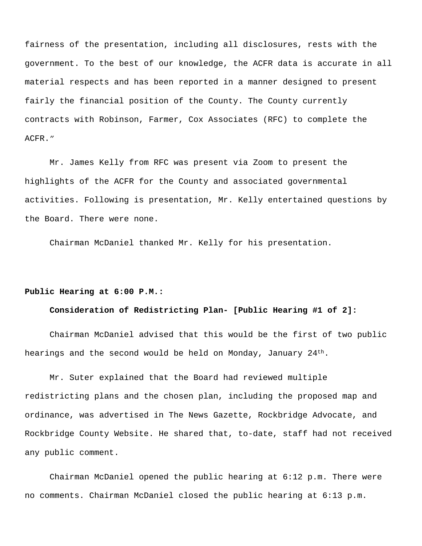fairness of the presentation, including all disclosures, rests with the government. To the best of our knowledge, the ACFR data is accurate in all material respects and has been reported in a manner designed to present fairly the financial position of the County. The County currently contracts with Robinson, Farmer, Cox Associates (RFC) to complete the ACFR."

Mr. James Kelly from RFC was present via Zoom to present the highlights of the ACFR for the County and associated governmental activities. Following is presentation, Mr. Kelly entertained questions by the Board. There were none.

Chairman McDaniel thanked Mr. Kelly for his presentation.

# **Public Hearing at 6:00 P.M.:**

### **Consideration of Redistricting Plan- [Public Hearing #1 of 2]:**

Chairman McDaniel advised that this would be the first of two public hearings and the second would be held on Monday, January  $24<sup>th</sup>$ .

Mr. Suter explained that the Board had reviewed multiple redistricting plans and the chosen plan, including the proposed map and ordinance, was advertised in The News Gazette, Rockbridge Advocate, and Rockbridge County Website. He shared that, to-date, staff had not received any public comment.

Chairman McDaniel opened the public hearing at 6:12 p.m. There were no comments. Chairman McDaniel closed the public hearing at 6:13 p.m.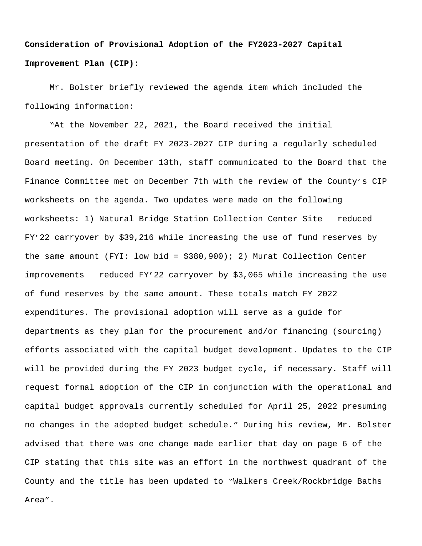# **Consideration of Provisional Adoption of the FY2023-2027 Capital Improvement Plan (CIP):**

Mr. Bolster briefly reviewed the agenda item which included the following information:

 "At the November 22, 2021, the Board received the initial presentation of the draft FY 2023-2027 CIP during a regularly scheduled Board meeting. On December 13th, staff communicated to the Board that the Finance Committee met on December 7th with the review of the County's CIP worksheets on the agenda. Two updates were made on the following worksheets: 1) Natural Bridge Station Collection Center Site – reduced FY'22 carryover by \$39,216 while increasing the use of fund reserves by the same amount (FYI: low bid = \$380,900); 2) Murat Collection Center improvements – reduced FY'22 carryover by \$3,065 while increasing the use of fund reserves by the same amount. These totals match FY 2022 expenditures. The provisional adoption will serve as a guide for departments as they plan for the procurement and/or financing (sourcing) efforts associated with the capital budget development. Updates to the CIP will be provided during the FY 2023 budget cycle, if necessary. Staff will request formal adoption of the CIP in conjunction with the operational and capital budget approvals currently scheduled for April 25, 2022 presuming no changes in the adopted budget schedule." During his review, Mr. Bolster advised that there was one change made earlier that day on page 6 of the CIP stating that this site was an effort in the northwest quadrant of the County and the title has been updated to "Walkers Creek/Rockbridge Baths Area".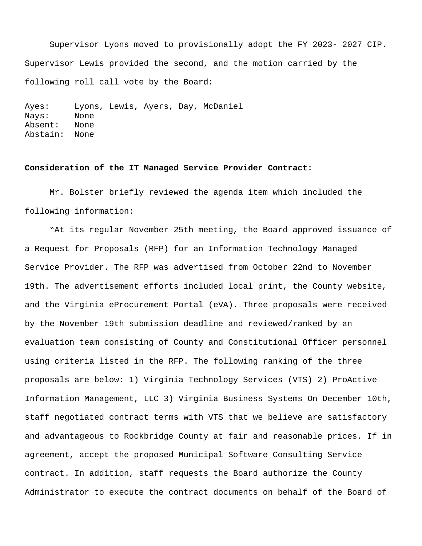Supervisor Lyons moved to provisionally adopt the FY 2023- 2027 CIP. Supervisor Lewis provided the second, and the motion carried by the following roll call vote by the Board:

Ayes: Lyons, Lewis, Ayers, Day, McDaniel Nays: None Absent: None Abstain: None

### **Consideration of the IT Managed Service Provider Contract:**

Mr. Bolster briefly reviewed the agenda item which included the following information:

 "At its regular November 25th meeting, the Board approved issuance of a Request for Proposals (RFP) for an Information Technology Managed Service Provider. The RFP was advertised from October 22nd to November 19th. The advertisement efforts included local print, the County website, and the Virginia eProcurement Portal (eVA). Three proposals were received by the November 19th submission deadline and reviewed/ranked by an evaluation team consisting of County and Constitutional Officer personnel using criteria listed in the RFP. The following ranking of the three proposals are below: 1) Virginia Technology Services (VTS) 2) ProActive Information Management, LLC 3) Virginia Business Systems On December 10th, staff negotiated contract terms with VTS that we believe are satisfactory and advantageous to Rockbridge County at fair and reasonable prices. If in agreement, accept the proposed Municipal Software Consulting Service contract. In addition, staff requests the Board authorize the County Administrator to execute the contract documents on behalf of the Board of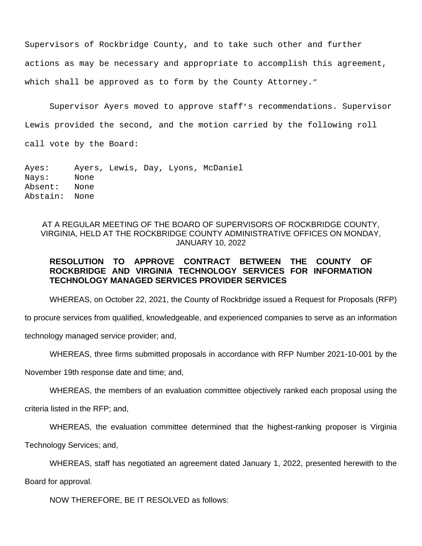Supervisors of Rockbridge County, and to take such other and further actions as may be necessary and appropriate to accomplish this agreement, which shall be approved as to form by the County Attorney."

Supervisor Ayers moved to approve staff's recommendations. Supervisor Lewis provided the second, and the motion carried by the following roll

call vote by the Board:

Ayes: Ayers, Lewis, Day, Lyons, McDaniel Nays: None Absent: None Abstain: None

AT A REGULAR MEETING OF THE BOARD OF SUPERVISORS OF ROCKBRIDGE COUNTY, VIRGINIA, HELD AT THE ROCKBRIDGE COUNTY ADMINISTRATIVE OFFICES ON MONDAY, JANUARY 10, 2022

# **RESOLUTION TO APPROVE CONTRACT BETWEEN THE COUNTY OF ROCKBRIDGE AND VIRGINIA TECHNOLOGY SERVICES FOR INFORMATION TECHNOLOGY MANAGED SERVICES PROVIDER SERVICES**

WHEREAS, on October 22, 2021, the County of Rockbridge issued a Request for Proposals (RFP)

to procure services from qualified, knowledgeable, and experienced companies to serve as an information

technology managed service provider; and,

WHEREAS, three firms submitted proposals in accordance with RFP Number 2021-10-001 by the

November 19th response date and time; and,

WHEREAS, the members of an evaluation committee objectively ranked each proposal using the

criteria listed in the RFP; and,

WHEREAS, the evaluation committee determined that the highest-ranking proposer is Virginia

Technology Services; and,

WHEREAS, staff has negotiated an agreement dated January 1, 2022, presented herewith to the

Board for approval.

NOW THEREFORE, BE IT RESOLVED as follows: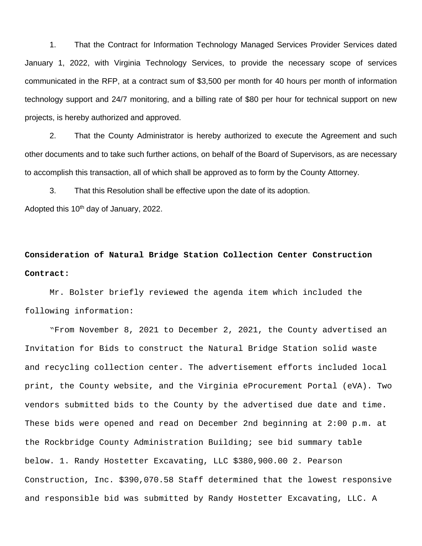1. That the Contract for Information Technology Managed Services Provider Services dated January 1, 2022, with Virginia Technology Services, to provide the necessary scope of services communicated in the RFP, at a contract sum of \$3,500 per month for 40 hours per month of information technology support and 24/7 monitoring, and a billing rate of \$80 per hour for technical support on new projects, is hereby authorized and approved.

2. That the County Administrator is hereby authorized to execute the Agreement and such other documents and to take such further actions, on behalf of the Board of Supervisors, as are necessary to accomplish this transaction, all of which shall be approved as to form by the County Attorney.

3. That this Resolution shall be effective upon the date of its adoption. Adopted this 10<sup>th</sup> day of January, 2022.

# **Consideration of Natural Bridge Station Collection Center Construction Contract:**

Mr. Bolster briefly reviewed the agenda item which included the following information:

"From November 8, 2021 to December 2, 2021, the County advertised an Invitation for Bids to construct the Natural Bridge Station solid waste and recycling collection center. The advertisement efforts included local print, the County website, and the Virginia eProcurement Portal (eVA). Two vendors submitted bids to the County by the advertised due date and time. These bids were opened and read on December 2nd beginning at 2:00 p.m. at the Rockbridge County Administration Building; see bid summary table below. 1. Randy Hostetter Excavating, LLC \$380,900.00 2. Pearson Construction, Inc. \$390,070.58 Staff determined that the lowest responsive and responsible bid was submitted by Randy Hostetter Excavating, LLC. A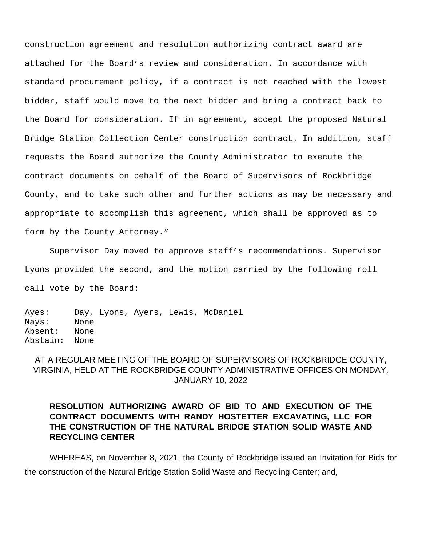construction agreement and resolution authorizing contract award are attached for the Board's review and consideration. In accordance with standard procurement policy, if a contract is not reached with the lowest bidder, staff would move to the next bidder and bring a contract back to the Board for consideration. If in agreement, accept the proposed Natural Bridge Station Collection Center construction contract. In addition, staff requests the Board authorize the County Administrator to execute the contract documents on behalf of the Board of Supervisors of Rockbridge County, and to take such other and further actions as may be necessary and appropriate to accomplish this agreement, which shall be approved as to form by the County Attorney."

Supervisor Day moved to approve staff's recommendations. Supervisor Lyons provided the second, and the motion carried by the following roll call vote by the Board:

Ayes: Day, Lyons, Ayers, Lewis, McDaniel Nays: None Absent: None Abstain: None

# AT A REGULAR MEETING OF THE BOARD OF SUPERVISORS OF ROCKBRIDGE COUNTY, VIRGINIA, HELD AT THE ROCKBRIDGE COUNTY ADMINISTRATIVE OFFICES ON MONDAY, JANUARY 10, 2022

# **RESOLUTION AUTHORIZING AWARD OF BID TO AND EXECUTION OF THE CONTRACT DOCUMENTS WITH RANDY HOSTETTER EXCAVATING, LLC FOR THE CONSTRUCTION OF THE NATURAL BRIDGE STATION SOLID WASTE AND RECYCLING CENTER**

WHEREAS, on November 8, 2021, the County of Rockbridge issued an Invitation for Bids for the construction of the Natural Bridge Station Solid Waste and Recycling Center; and,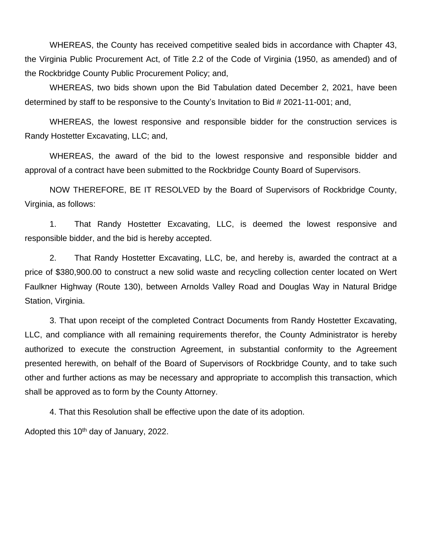WHEREAS, the County has received competitive sealed bids in accordance with Chapter 43, the Virginia Public Procurement Act, of Title 2.2 of the Code of Virginia (1950, as amended) and of the Rockbridge County Public Procurement Policy; and,

WHEREAS, two bids shown upon the Bid Tabulation dated December 2, 2021, have been determined by staff to be responsive to the County's Invitation to Bid # 2021-11-001; and,

WHEREAS, the lowest responsive and responsible bidder for the construction services is Randy Hostetter Excavating, LLC; and,

WHEREAS, the award of the bid to the lowest responsive and responsible bidder and approval of a contract have been submitted to the Rockbridge County Board of Supervisors.

NOW THEREFORE, BE IT RESOLVED by the Board of Supervisors of Rockbridge County, Virginia, as follows:

1. That Randy Hostetter Excavating, LLC, is deemed the lowest responsive and responsible bidder, and the bid is hereby accepted.

2. That Randy Hostetter Excavating, LLC, be, and hereby is, awarded the contract at a price of \$380,900.00 to construct a new solid waste and recycling collection center located on Wert Faulkner Highway (Route 130), between Arnolds Valley Road and Douglas Way in Natural Bridge Station, Virginia.

3. That upon receipt of the completed Contract Documents from Randy Hostetter Excavating, LLC, and compliance with all remaining requirements therefor, the County Administrator is hereby authorized to execute the construction Agreement, in substantial conformity to the Agreement presented herewith, on behalf of the Board of Supervisors of Rockbridge County, and to take such other and further actions as may be necessary and appropriate to accomplish this transaction, which shall be approved as to form by the County Attorney.

4. That this Resolution shall be effective upon the date of its adoption.

Adopted this 10th day of January, 2022.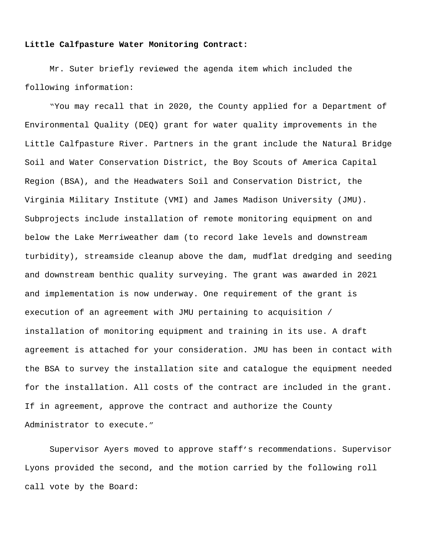### **Little Calfpasture Water Monitoring Contract:**

Mr. Suter briefly reviewed the agenda item which included the following information:

 "You may recall that in 2020, the County applied for a Department of Environmental Quality (DEQ) grant for water quality improvements in the Little Calfpasture River. Partners in the grant include the Natural Bridge Soil and Water Conservation District, the Boy Scouts of America Capital Region (BSA), and the Headwaters Soil and Conservation District, the Virginia Military Institute (VMI) and James Madison University (JMU). Subprojects include installation of remote monitoring equipment on and below the Lake Merriweather dam (to record lake levels and downstream turbidity), streamside cleanup above the dam, mudflat dredging and seeding and downstream benthic quality surveying. The grant was awarded in 2021 and implementation is now underway. One requirement of the grant is execution of an agreement with JMU pertaining to acquisition / installation of monitoring equipment and training in its use. A draft agreement is attached for your consideration. JMU has been in contact with the BSA to survey the installation site and catalogue the equipment needed for the installation. All costs of the contract are included in the grant. If in agreement, approve the contract and authorize the County Administrator to execute."

Supervisor Ayers moved to approve staff's recommendations. Supervisor Lyons provided the second, and the motion carried by the following roll call vote by the Board: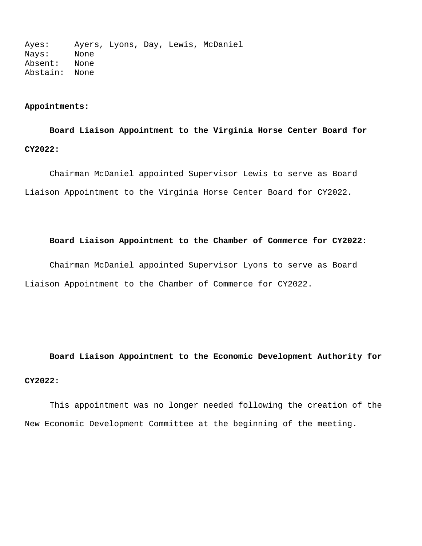Ayes: Ayers, Lyons, Day, Lewis, McDaniel Nays: None Absent: None Abstain: None

# **Appointments:**

# **Board Liaison Appointment to the Virginia Horse Center Board for CY2022:**

 Chairman McDaniel appointed Supervisor Lewis to serve as Board Liaison Appointment to the Virginia Horse Center Board for CY2022.

# **Board Liaison Appointment to the Chamber of Commerce for CY2022:**

 Chairman McDaniel appointed Supervisor Lyons to serve as Board Liaison Appointment to the Chamber of Commerce for CY2022.

**Board Liaison Appointment to the Economic Development Authority for CY2022:**

This appointment was no longer needed following the creation of the New Economic Development Committee at the beginning of the meeting.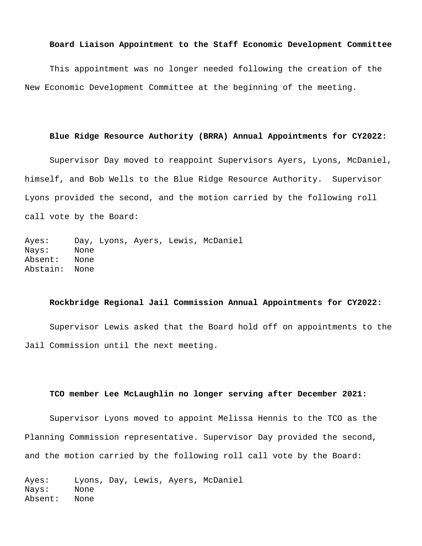### **Board Liaison Appointment to the Staff Economic Development Committee**

This appointment was no longer needed following the creation of the New Economic Development Committee at the beginning of the meeting.

### **Blue Ridge Resource Authority (BRRA) Annual Appointments for CY2022:**

Supervisor Day moved to reappoint Supervisors Ayers, Lyons, McDaniel, himself, and Bob Wells to the Blue Ridge Resource Authority. Supervisor Lyons provided the second, and the motion carried by the following roll call vote by the Board:

Ayes: Day, Lyons, Ayers, Lewis, McDaniel Nays: None Absent: None Abstain: None

### **Rockbridge Regional Jail Commission Annual Appointments for CY2022:**

 Supervisor Lewis asked that the Board hold off on appointments to the Jail Commission until the next meeting.

# **TCO member Lee McLaughlin no longer serving after December 2021:**

 Supervisor Lyons moved to appoint Melissa Hennis to the TCO as the Planning Commission representative. Supervisor Day provided the second, and the motion carried by the following roll call vote by the Board:

Ayes: Lyons, Day, Lewis, Ayers, McDaniel Nays: None Absent: None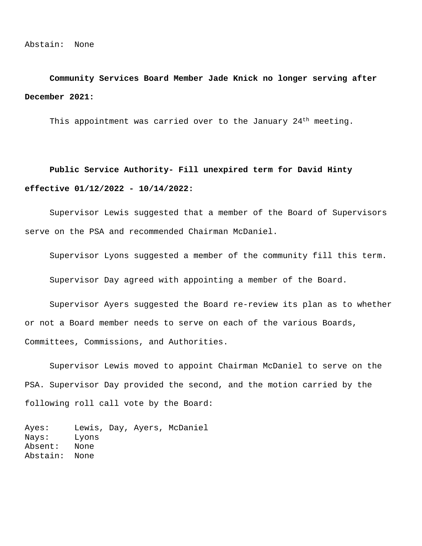**Community Services Board Member Jade Knick no longer serving after December 2021:**

This appointment was carried over to the January 24<sup>th</sup> meeting.

 **Public Service Authority- Fill unexpired term for David Hinty effective 01/12/2022 - 10/14/2022:**

 Supervisor Lewis suggested that a member of the Board of Supervisors serve on the PSA and recommended Chairman McDaniel.

Supervisor Lyons suggested a member of the community fill this term.

Supervisor Day agreed with appointing a member of the Board.

Supervisor Ayers suggested the Board re-review its plan as to whether or not a Board member needs to serve on each of the various Boards, Committees, Commissions, and Authorities.

 Supervisor Lewis moved to appoint Chairman McDaniel to serve on the PSA. Supervisor Day provided the second, and the motion carried by the following roll call vote by the Board:

Ayes: Lewis, Day, Ayers, McDaniel Nays: Lyons Absent: None Abstain: None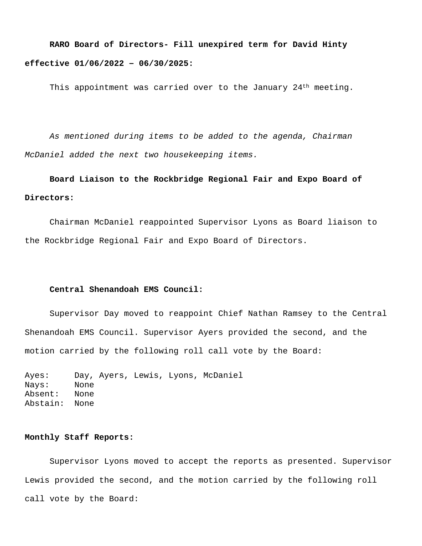# **RARO Board of Directors- Fill unexpired term for David Hinty effective 01/06/2022 – 06/30/2025:**

This appointment was carried over to the January 24<sup>th</sup> meeting.

 *As mentioned during items to be added to the agenda, Chairman McDaniel added the next two housekeeping items.*

# **Board Liaison to the Rockbridge Regional Fair and Expo Board of Directors:**

 Chairman McDaniel reappointed Supervisor Lyons as Board liaison to the Rockbridge Regional Fair and Expo Board of Directors.

### **Central Shenandoah EMS Council:**

Supervisor Day moved to reappoint Chief Nathan Ramsey to the Central Shenandoah EMS Council. Supervisor Ayers provided the second, and the motion carried by the following roll call vote by the Board:

Ayes: Day, Ayers, Lewis, Lyons, McDaniel Nays: None Absent: None Abstain: None

# **Monthly Staff Reports:**

 Supervisor Lyons moved to accept the reports as presented. Supervisor Lewis provided the second, and the motion carried by the following roll call vote by the Board: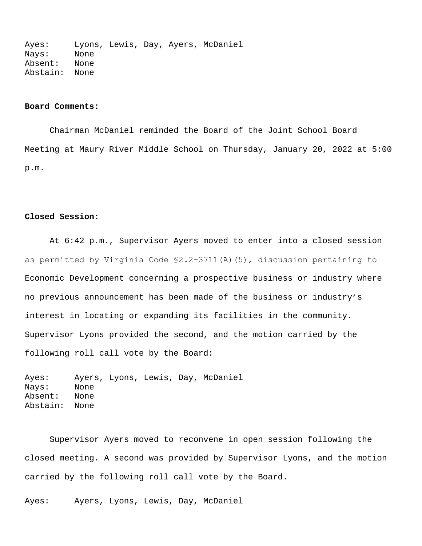Ayes: Lyons, Lewis, Day, Ayers, McDaniel Nays: None Absent: None Abstain: None

## **Board Comments:**

 Chairman McDaniel reminded the Board of the Joint School Board Meeting at Maury River Middle School on Thursday, January 20, 2022 at 5:00 p.m.

## **Closed Session:**

 At 6:42 p.m., Supervisor Ayers moved to enter into a closed session as permitted by Virginia Code §2.2-3711(A)(5), discussion pertaining to Economic Development concerning a prospective business or industry where no previous announcement has been made of the business or industry's interest in locating or expanding its facilities in the community. Supervisor Lyons provided the second, and the motion carried by the following roll call vote by the Board:

Ayes: Ayers, Lyons, Lewis, Day, McDaniel Nays: None Absent: None Abstain: None

Supervisor Ayers moved to reconvene in open session following the closed meeting. A second was provided by Supervisor Lyons, and the motion carried by the following roll call vote by the Board.

Ayes: Ayers, Lyons, Lewis, Day, McDaniel